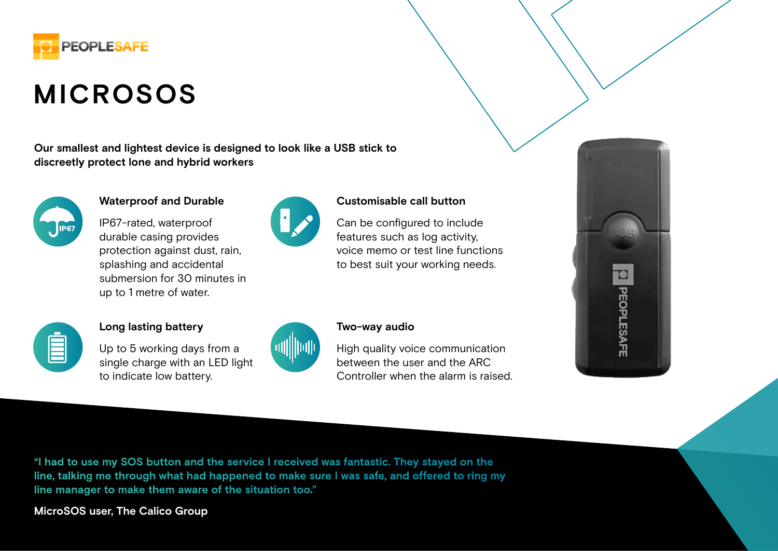

# **MICROSOS**

**Our smallest and lightest device is designed to look like a USB stick to discreetly protect lone and hybrid workers**



## **Waterproof and Durable**

IP67-rated, waterproof durable casing provides protection against dust, rain, splashing and accidental submersion for 30 minutes in up to 1 metre of water.



#### **Customisable call button**

Can be configured to include features such as log activity, voice memo or test line functions to best suit your working needs.



#### **Long lasting battery**

Up to 5 working days from a single charge with an LED light to indicate low battery.



### **Two-way audio**

High quality voice communication between the user and the ARC Controller when the alarm is raised.



**"I had to use my SOS button and the service I received was fantastic. They stayed on the line, talking me through what had happened to make sure I was safe, and offered to ring my line manager to make them aware of the situation too."** 

**MicroSOS user, The Calico Group**